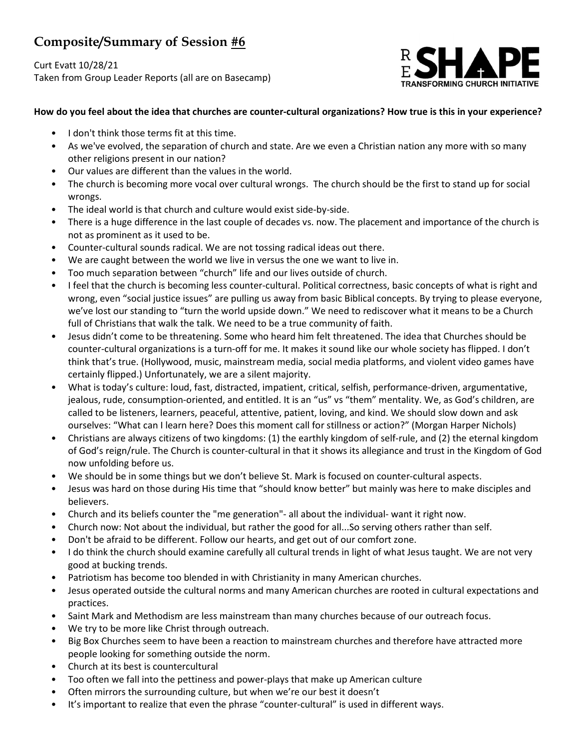# Composite/Summary of Session #6

Curt Evatt 10/28/21 Taken from Group Leader Reports (all are on Basecamp)



# How do you feel about the idea that churches are counter-cultural organizations? How true is this in your experience?

- I don't think those terms fit at this time.
- As we've evolved, the separation of church and state. Are we even a Christian nation any more with so many other religions present in our nation?
- Our values are different than the values in the world.
- The church is becoming more vocal over cultural wrongs. The church should be the first to stand up for social wrongs.
- The ideal world is that church and culture would exist side-by-side.
- There is a huge difference in the last couple of decades vs. now. The placement and importance of the church is not as prominent as it used to be.
- Counter-cultural sounds radical. We are not tossing radical ideas out there.
- We are caught between the world we live in versus the one we want to live in.
- Too much separation between "church" life and our lives outside of church.
- I feel that the church is becoming less counter-cultural. Political correctness, basic concepts of what is right and wrong, even "social justice issues" are pulling us away from basic Biblical concepts. By trying to please everyone, we've lost our standing to "turn the world upside down." We need to rediscover what it means to be a Church full of Christians that walk the talk. We need to be a true community of faith.
- Jesus didn't come to be threatening. Some who heard him felt threatened. The idea that Churches should be counter-cultural organizations is a turn-off for me. It makes it sound like our whole society has flipped. I don't think that's true. (Hollywood, music, mainstream media, social media platforms, and violent video games have certainly flipped.) Unfortunately, we are a silent majority.
- What is today's culture: loud, fast, distracted, impatient, critical, selfish, performance-driven, argumentative, jealous, rude, consumption-oriented, and entitled. It is an "us" vs "them" mentality. We, as God's children, are called to be listeners, learners, peaceful, attentive, patient, loving, and kind. We should slow down and ask ourselves: "What can I learn here? Does this moment call for stillness or action?" (Morgan Harper Nichols)
- Christians are always citizens of two kingdoms: (1) the earthly kingdom of self-rule, and (2) the eternal kingdom of God's reign/rule. The Church is counter-cultural in that it shows its allegiance and trust in the Kingdom of God now unfolding before us.
- We should be in some things but we don't believe St. Mark is focused on counter-cultural aspects.
- Jesus was hard on those during His time that "should know better" but mainly was here to make disciples and believers.
- Church and its beliefs counter the "me generation"- all about the individual- want it right now.
- Church now: Not about the individual, but rather the good for all...So serving others rather than self.
- Don't be afraid to be different. Follow our hearts, and get out of our comfort zone.
- I do think the church should examine carefully all cultural trends in light of what Jesus taught. We are not very good at bucking trends.
- Patriotism has become too blended in with Christianity in many American churches.
- Jesus operated outside the cultural norms and many American churches are rooted in cultural expectations and practices.
- Saint Mark and Methodism are less mainstream than many churches because of our outreach focus.
- We try to be more like Christ through outreach.
- Big Box Churches seem to have been a reaction to mainstream churches and therefore have attracted more people looking for something outside the norm.
- Church at its best is countercultural
- Too often we fall into the pettiness and power-plays that make up American culture
- Often mirrors the surrounding culture, but when we're our best it doesn't
- It's important to realize that even the phrase "counter-cultural" is used in different ways.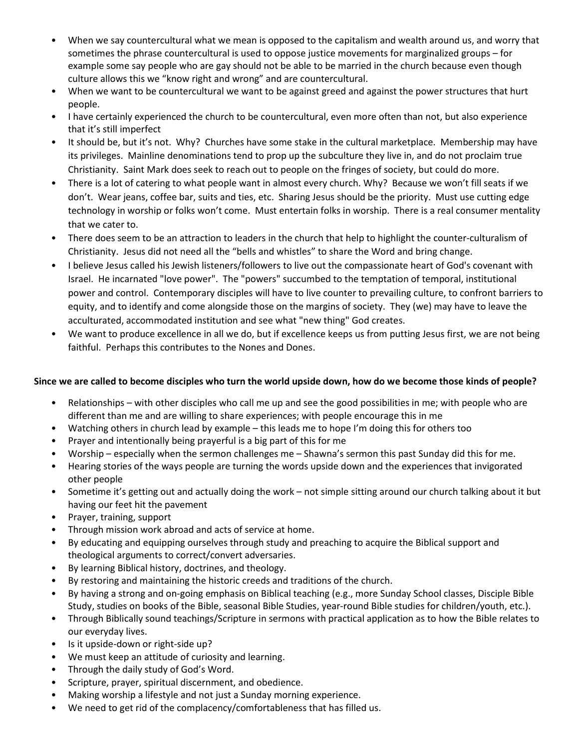- When we say countercultural what we mean is opposed to the capitalism and wealth around us, and worry that sometimes the phrase countercultural is used to oppose justice movements for marginalized groups – for example some say people who are gay should not be able to be married in the church because even though culture allows this we "know right and wrong" and are countercultural.
- When we want to be countercultural we want to be against greed and against the power structures that hurt people.
- I have certainly experienced the church to be countercultural, even more often than not, but also experience that it's still imperfect
- It should be, but it's not. Why? Churches have some stake in the cultural marketplace. Membership may have its privileges. Mainline denominations tend to prop up the subculture they live in, and do not proclaim true Christianity. Saint Mark does seek to reach out to people on the fringes of society, but could do more.
- There is a lot of catering to what people want in almost every church. Why? Because we won't fill seats if we don't. Wear jeans, coffee bar, suits and ties, etc. Sharing Jesus should be the priority. Must use cutting edge technology in worship or folks won't come. Must entertain folks in worship. There is a real consumer mentality that we cater to.
- There does seem to be an attraction to leaders in the church that help to highlight the counter-culturalism of Christianity. Jesus did not need all the "bells and whistles" to share the Word and bring change.
- I believe Jesus called his Jewish listeners/followers to live out the compassionate heart of God's covenant with Israel. He incarnated "love power". The "powers" succumbed to the temptation of temporal, institutional power and control. Contemporary disciples will have to live counter to prevailing culture, to confront barriers to equity, and to identify and come alongside those on the margins of society. They (we) may have to leave the acculturated, accommodated institution and see what "new thing" God creates.
- We want to produce excellence in all we do, but if excellence keeps us from putting Jesus first, we are not being faithful. Perhaps this contributes to the Nones and Dones.

# Since we are called to become disciples who turn the world upside down, how do we become those kinds of people?

- Relationships with other disciples who call me up and see the good possibilities in me; with people who are different than me and are willing to share experiences; with people encourage this in me
- Watching others in church lead by example this leads me to hope I'm doing this for others too
- Prayer and intentionally being prayerful is a big part of this for me
- Worship especially when the sermon challenges me Shawna's sermon this past Sunday did this for me.
- Hearing stories of the ways people are turning the words upside down and the experiences that invigorated other people
- Sometime it's getting out and actually doing the work not simple sitting around our church talking about it but having our feet hit the pavement
- Prayer, training, support
- Through mission work abroad and acts of service at home.
- By educating and equipping ourselves through study and preaching to acquire the Biblical support and theological arguments to correct/convert adversaries.
- By learning Biblical history, doctrines, and theology.
- By restoring and maintaining the historic creeds and traditions of the church.
- By having a strong and on-going emphasis on Biblical teaching (e.g., more Sunday School classes, Disciple Bible Study, studies on books of the Bible, seasonal Bible Studies, year-round Bible studies for children/youth, etc.).
- Through Biblically sound teachings/Scripture in sermons with practical application as to how the Bible relates to our everyday lives.
- Is it upside-down or right-side up?
- We must keep an attitude of curiosity and learning.
- Through the daily study of God's Word.
- Scripture, prayer, spiritual discernment, and obedience.
- Making worship a lifestyle and not just a Sunday morning experience.
- We need to get rid of the complacency/comfortableness that has filled us.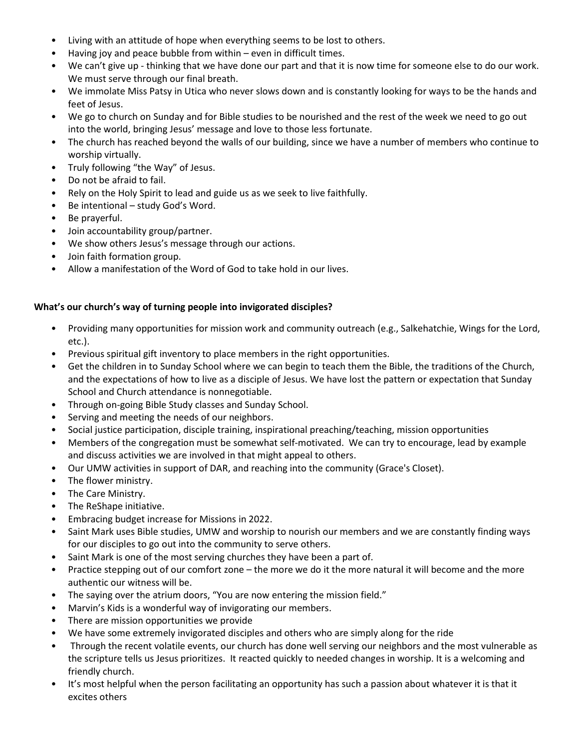- Living with an attitude of hope when everything seems to be lost to others.
- Having joy and peace bubble from within  $-$  even in difficult times.
- We can't give up thinking that we have done our part and that it is now time for someone else to do our work. We must serve through our final breath.
- We immolate Miss Patsy in Utica who never slows down and is constantly looking for ways to be the hands and feet of Jesus.
- We go to church on Sunday and for Bible studies to be nourished and the rest of the week we need to go out into the world, bringing Jesus' message and love to those less fortunate.
- The church has reached beyond the walls of our building, since we have a number of members who continue to worship virtually.
- Truly following "the Way" of Jesus.
- Do not be afraid to fail.
- Rely on the Holy Spirit to lead and guide us as we seek to live faithfully.
- Be intentional study God's Word.
- Be prayerful.
- Join accountability group/partner.
- We show others Jesus's message through our actions.
- Join faith formation group.
- Allow a manifestation of the Word of God to take hold in our lives.

## What's our church's way of turning people into invigorated disciples?

- Providing many opportunities for mission work and community outreach (e.g., Salkehatchie, Wings for the Lord, etc.).
- Previous spiritual gift inventory to place members in the right opportunities.
- Get the children in to Sunday School where we can begin to teach them the Bible, the traditions of the Church, and the expectations of how to live as a disciple of Jesus. We have lost the pattern or expectation that Sunday School and Church attendance is nonnegotiable.
- Through on-going Bible Study classes and Sunday School.
- Serving and meeting the needs of our neighbors.
- Social justice participation, disciple training, inspirational preaching/teaching, mission opportunities
- Members of the congregation must be somewhat self-motivated. We can try to encourage, lead by example and discuss activities we are involved in that might appeal to others.
- Our UMW activities in support of DAR, and reaching into the community (Grace's Closet).
- The flower ministry.
- The Care Ministry.
- The ReShape initiative.
- Embracing budget increase for Missions in 2022.
- Saint Mark uses Bible studies, UMW and worship to nourish our members and we are constantly finding ways for our disciples to go out into the community to serve others.
- Saint Mark is one of the most serving churches they have been a part of.
- Practice stepping out of our comfort zone the more we do it the more natural it will become and the more authentic our witness will be.
- The saying over the atrium doors, "You are now entering the mission field."
- Marvin's Kids is a wonderful way of invigorating our members.
- There are mission opportunities we provide
- We have some extremely invigorated disciples and others who are simply along for the ride
- Through the recent volatile events, our church has done well serving our neighbors and the most vulnerable as the scripture tells us Jesus prioritizes. It reacted quickly to needed changes in worship. It is a welcoming and friendly church.
- It's most helpful when the person facilitating an opportunity has such a passion about whatever it is that it excites others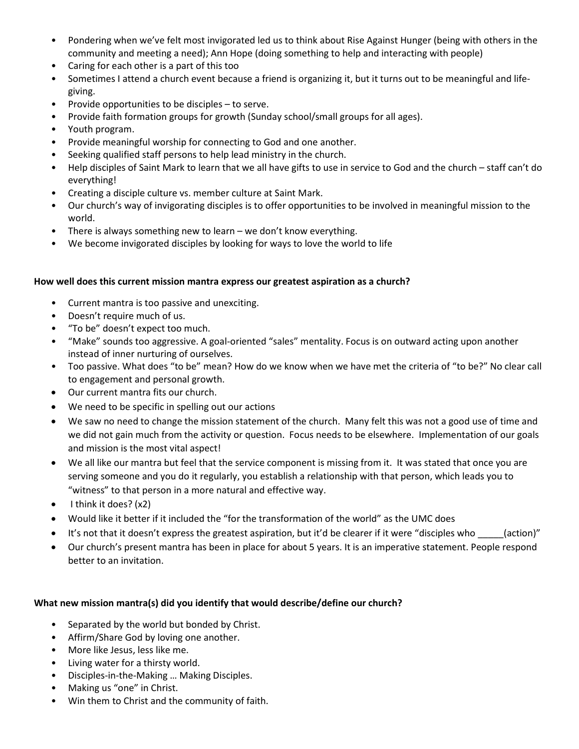- Pondering when we've felt most invigorated led us to think about Rise Against Hunger (being with others in the community and meeting a need); Ann Hope (doing something to help and interacting with people)
- Caring for each other is a part of this too
- Sometimes I attend a church event because a friend is organizing it, but it turns out to be meaningful and lifegiving.
- Provide opportunities to be disciples to serve.
- Provide faith formation groups for growth (Sunday school/small groups for all ages).
- Youth program.
- Provide meaningful worship for connecting to God and one another.
- Seeking qualified staff persons to help lead ministry in the church.
- Help disciples of Saint Mark to learn that we all have gifts to use in service to God and the church staff can't do everything!
- Creating a disciple culture vs. member culture at Saint Mark.
- Our church's way of invigorating disciples is to offer opportunities to be involved in meaningful mission to the world.
- There is always something new to learn we don't know everything.
- We become invigorated disciples by looking for ways to love the world to life

## How well does this current mission mantra express our greatest aspiration as a church?

- Current mantra is too passive and unexciting.
- Doesn't require much of us.
- "To be" doesn't expect too much.
- "Make" sounds too aggressive. A goal-oriented "sales" mentality. Focus is on outward acting upon another instead of inner nurturing of ourselves.
- Too passive. What does "to be" mean? How do we know when we have met the criteria of "to be?" No clear call to engagement and personal growth.
- Our current mantra fits our church.
- We need to be specific in spelling out our actions
- We saw no need to change the mission statement of the church. Many felt this was not a good use of time and we did not gain much from the activity or question. Focus needs to be elsewhere. Implementation of our goals and mission is the most vital aspect!
- We all like our mantra but feel that the service component is missing from it. It was stated that once you are serving someone and you do it regularly, you establish a relationship with that person, which leads you to "witness" to that person in a more natural and effective way.
- $\bullet$  I think it does? (x2)
- Would like it better if it included the "for the transformation of the world" as the UMC does
- It's not that it doesn't express the greatest aspiration, but it'd be clearer if it were "disciples who \_\_\_\_(action)"
- Our church's present mantra has been in place for about 5 years. It is an imperative statement. People respond better to an invitation.

# What new mission mantra(s) did you identify that would describe/define our church?

- Separated by the world but bonded by Christ.
- Affirm/Share God by loving one another.
- More like Jesus, less like me.
- Living water for a thirsty world.
- Disciples-in-the-Making … Making Disciples.
- Making us "one" in Christ.
- Win them to Christ and the community of faith.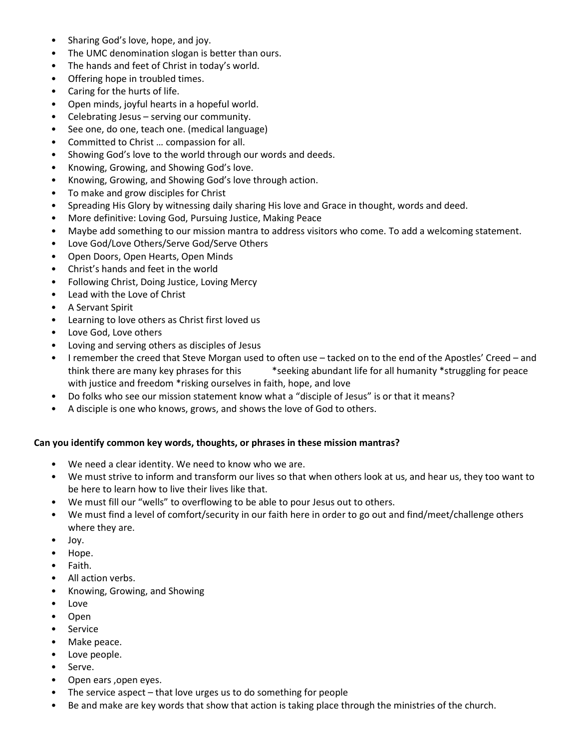- Sharing God's love, hope, and joy.
- The UMC denomination slogan is better than ours.
- The hands and feet of Christ in today's world.
- Offering hope in troubled times.
- Caring for the hurts of life.
- Open minds, joyful hearts in a hopeful world.
- Celebrating Jesus serving our community.
- See one, do one, teach one. (medical language)
- Committed to Christ … compassion for all.
- Showing God's love to the world through our words and deeds.
- Knowing, Growing, and Showing God's love.
- Knowing, Growing, and Showing God's love through action.
- To make and grow disciples for Christ
- Spreading His Glory by witnessing daily sharing His love and Grace in thought, words and deed.
- More definitive: Loving God, Pursuing Justice, Making Peace
- Maybe add something to our mission mantra to address visitors who come. To add a welcoming statement.
- Love God/Love Others/Serve God/Serve Others
- Open Doors, Open Hearts, Open Minds
- Christ's hands and feet in the world
- Following Christ, Doing Justice, Loving Mercy
- Lead with the Love of Christ
- A Servant Spirit
- Learning to love others as Christ first loved us
- Love God, Love others
- Loving and serving others as disciples of Jesus
- I remember the creed that Steve Morgan used to often use tacked on to the end of the Apostles' Creed and think there are many key phrases for this \*seeking abundant life for all humanity \*struggling for peace with justice and freedom \*risking ourselves in faith, hope, and love
- Do folks who see our mission statement know what a "disciple of Jesus" is or that it means?
- A disciple is one who knows, grows, and shows the love of God to others.

## Can you identify common key words, thoughts, or phrases in these mission mantras?

- We need a clear identity. We need to know who we are.
- We must strive to inform and transform our lives so that when others look at us, and hear us, they too want to be here to learn how to live their lives like that.
- We must fill our "wells" to overflowing to be able to pour Jesus out to others.
- We must find a level of comfort/security in our faith here in order to go out and find/meet/challenge others where they are.
- Joy.
- Hope.
- Faith.
- All action verbs.
- Knowing, Growing, and Showing
- Love
- Open
- Service
- Make peace.
- Love people.
- Serve.
- Open ears ,open eyes.
- The service aspect  $-$  that love urges us to do something for people
- Be and make are key words that show that action is taking place through the ministries of the church.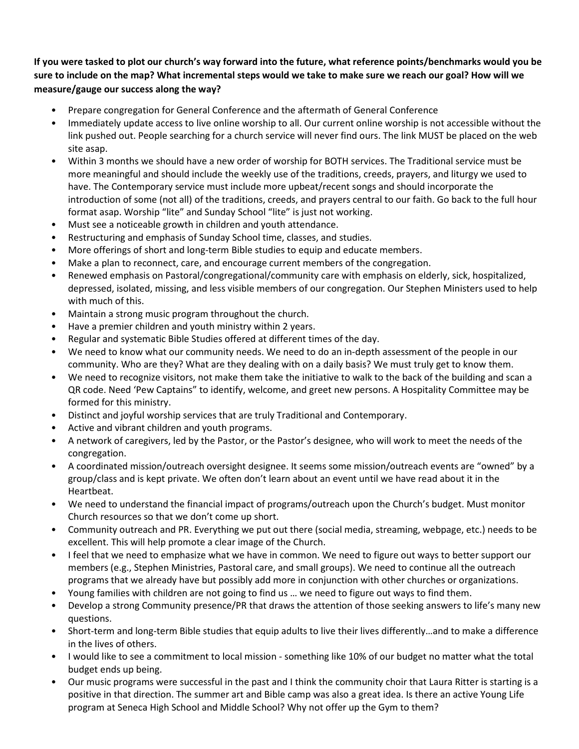If you were tasked to plot our church's way forward into the future, what reference points/benchmarks would you be sure to include on the map? What incremental steps would we take to make sure we reach our goal? How will we measure/gauge our success along the way?

- Prepare congregation for General Conference and the aftermath of General Conference
- Immediately update access to live online worship to all. Our current online worship is not accessible without the link pushed out. People searching for a church service will never find ours. The link MUST be placed on the web site asap.
- Within 3 months we should have a new order of worship for BOTH services. The Traditional service must be more meaningful and should include the weekly use of the traditions, creeds, prayers, and liturgy we used to have. The Contemporary service must include more upbeat/recent songs and should incorporate the introduction of some (not all) of the traditions, creeds, and prayers central to our faith. Go back to the full hour format asap. Worship "lite" and Sunday School "lite" is just not working.
- Must see a noticeable growth in children and youth attendance.
- Restructuring and emphasis of Sunday School time, classes, and studies.
- More offerings of short and long-term Bible studies to equip and educate members.
- Make a plan to reconnect, care, and encourage current members of the congregation.
- Renewed emphasis on Pastoral/congregational/community care with emphasis on elderly, sick, hospitalized, depressed, isolated, missing, and less visible members of our congregation. Our Stephen Ministers used to help with much of this.
- Maintain a strong music program throughout the church.
- Have a premier children and youth ministry within 2 years.
- Regular and systematic Bible Studies offered at different times of the day.
- We need to know what our community needs. We need to do an in-depth assessment of the people in our community. Who are they? What are they dealing with on a daily basis? We must truly get to know them.
- We need to recognize visitors, not make them take the initiative to walk to the back of the building and scan a QR code. Need 'Pew Captains" to identify, welcome, and greet new persons. A Hospitality Committee may be formed for this ministry.
- Distinct and joyful worship services that are truly Traditional and Contemporary.
- Active and vibrant children and youth programs.
- A network of caregivers, led by the Pastor, or the Pastor's designee, who will work to meet the needs of the congregation.
- A coordinated mission/outreach oversight designee. It seems some mission/outreach events are "owned" by a group/class and is kept private. We often don't learn about an event until we have read about it in the Heartbeat.
- We need to understand the financial impact of programs/outreach upon the Church's budget. Must monitor Church resources so that we don't come up short.
- Community outreach and PR. Everything we put out there (social media, streaming, webpage, etc.) needs to be excellent. This will help promote a clear image of the Church.
- I feel that we need to emphasize what we have in common. We need to figure out ways to better support our members (e.g., Stephen Ministries, Pastoral care, and small groups). We need to continue all the outreach programs that we already have but possibly add more in conjunction with other churches or organizations.
- Young families with children are not going to find us … we need to figure out ways to find them.
- Develop a strong Community presence/PR that draws the attention of those seeking answers to life's many new questions.
- Short-term and long-term Bible studies that equip adults to live their lives differently…and to make a difference in the lives of others.
- I would like to see a commitment to local mission something like 10% of our budget no matter what the total budget ends up being.
- Our music programs were successful in the past and I think the community choir that Laura Ritter is starting is a positive in that direction. The summer art and Bible camp was also a great idea. Is there an active Young Life program at Seneca High School and Middle School? Why not offer up the Gym to them?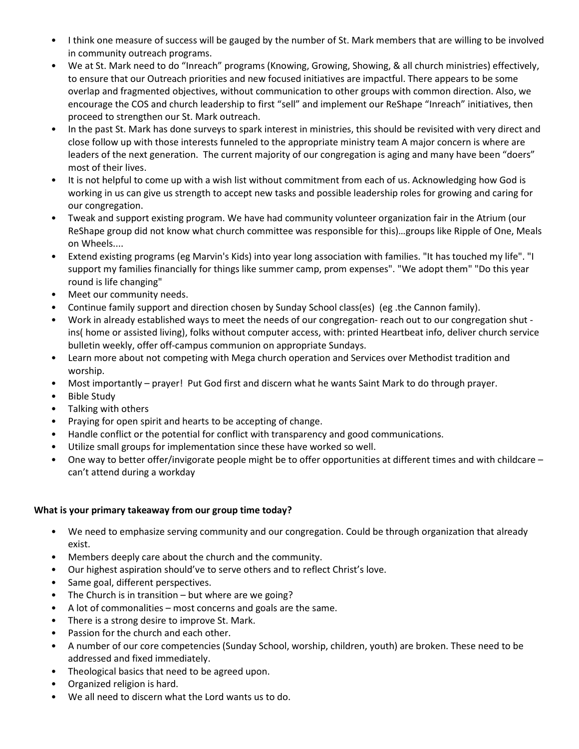- I think one measure of success will be gauged by the number of St. Mark members that are willing to be involved in community outreach programs.
- We at St. Mark need to do "Inreach" programs (Knowing, Growing, Showing, & all church ministries) effectively, to ensure that our Outreach priorities and new focused initiatives are impactful. There appears to be some overlap and fragmented objectives, without communication to other groups with common direction. Also, we encourage the COS and church leadership to first "sell" and implement our ReShape "Inreach" initiatives, then proceed to strengthen our St. Mark outreach.
- In the past St. Mark has done surveys to spark interest in ministries, this should be revisited with very direct and close follow up with those interests funneled to the appropriate ministry team A major concern is where are leaders of the next generation. The current majority of our congregation is aging and many have been "doers" most of their lives.
- It is not helpful to come up with a wish list without commitment from each of us. Acknowledging how God is working in us can give us strength to accept new tasks and possible leadership roles for growing and caring for our congregation.
- Tweak and support existing program. We have had community volunteer organization fair in the Atrium (our ReShape group did not know what church committee was responsible for this)…groups like Ripple of One, Meals on Wheels....
- Extend existing programs (eg Marvin's Kids) into year long association with families. "It has touched my life". "I support my families financially for things like summer camp, prom expenses". "We adopt them" "Do this year round is life changing"
- Meet our community needs.
- Continue family support and direction chosen by Sunday School class(es) (eg .the Cannon family).
- Work in already established ways to meet the needs of our congregation- reach out to our congregation shut ins( home or assisted living), folks without computer access, with: printed Heartbeat info, deliver church service bulletin weekly, offer off-campus communion on appropriate Sundays.
- Learn more about not competing with Mega church operation and Services over Methodist tradition and worship.
- Most importantly prayer! Put God first and discern what he wants Saint Mark to do through prayer.
- Bible Study
- Talking with others
- Praying for open spirit and hearts to be accepting of change.
- Handle conflict or the potential for conflict with transparency and good communications.
- Utilize small groups for implementation since these have worked so well.
- One way to better offer/invigorate people might be to offer opportunities at different times and with childcare can't attend during a workday

# What is your primary takeaway from our group time today?

- We need to emphasize serving community and our congregation. Could be through organization that already exist.
- Members deeply care about the church and the community.
- Our highest aspiration should've to serve others and to reflect Christ's love.
- Same goal, different perspectives.
- The Church is in transition but where are we going?
- A lot of commonalities most concerns and goals are the same.
- There is a strong desire to improve St. Mark.
- Passion for the church and each other.
- A number of our core competencies (Sunday School, worship, children, youth) are broken. These need to be addressed and fixed immediately.
- Theological basics that need to be agreed upon.
- Organized religion is hard.
- We all need to discern what the Lord wants us to do.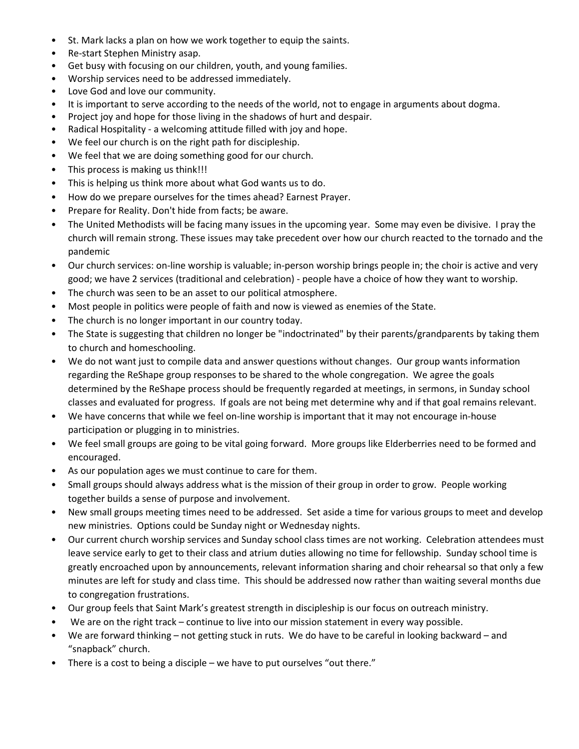- St. Mark lacks a plan on how we work together to equip the saints.
- Re-start Stephen Ministry asap.
- Get busy with focusing on our children, youth, and young families.
- Worship services need to be addressed immediately.
- Love God and love our community.
- It is important to serve according to the needs of the world, not to engage in arguments about dogma.
- Project joy and hope for those living in the shadows of hurt and despair.
- Radical Hospitality a welcoming attitude filled with joy and hope.
- We feel our church is on the right path for discipleship.
- We feel that we are doing something good for our church.
- This process is making us think!!!
- This is helping us think more about what God wants us to do.
- How do we prepare ourselves for the times ahead? Earnest Prayer.
- Prepare for Reality. Don't hide from facts; be aware.
- The United Methodists will be facing many issues in the upcoming year. Some may even be divisive. I pray the church will remain strong. These issues may take precedent over how our church reacted to the tornado and the pandemic
- Our church services: on-line worship is valuable; in-person worship brings people in; the choir is active and very good; we have 2 services (traditional and celebration) - people have a choice of how they want to worship.
- The church was seen to be an asset to our political atmosphere.
- Most people in politics were people of faith and now is viewed as enemies of the State.
- The church is no longer important in our country today.
- The State is suggesting that children no longer be "indoctrinated" by their parents/grandparents by taking them to church and homeschooling.
- We do not want just to compile data and answer questions without changes. Our group wants information regarding the ReShape group responses to be shared to the whole congregation. We agree the goals determined by the ReShape process should be frequently regarded at meetings, in sermons, in Sunday school classes and evaluated for progress. If goals are not being met determine why and if that goal remains relevant.
- We have concerns that while we feel on-line worship is important that it may not encourage in-house participation or plugging in to ministries.
- We feel small groups are going to be vital going forward. More groups like Elderberries need to be formed and encouraged.
- As our population ages we must continue to care for them.
- Small groups should always address what is the mission of their group in order to grow. People working together builds a sense of purpose and involvement.
- New small groups meeting times need to be addressed. Set aside a time for various groups to meet and develop new ministries. Options could be Sunday night or Wednesday nights.
- Our current church worship services and Sunday school class times are not working. Celebration attendees must leave service early to get to their class and atrium duties allowing no time for fellowship. Sunday school time is greatly encroached upon by announcements, relevant information sharing and choir rehearsal so that only a few minutes are left for study and class time. This should be addressed now rather than waiting several months due to congregation frustrations.
- Our group feels that Saint Mark's greatest strength in discipleship is our focus on outreach ministry.
- We are on the right track continue to live into our mission statement in every way possible.
- We are forward thinking not getting stuck in ruts. We do have to be careful in looking backward and "snapback" church.
- There is a cost to being a disciple we have to put ourselves "out there."